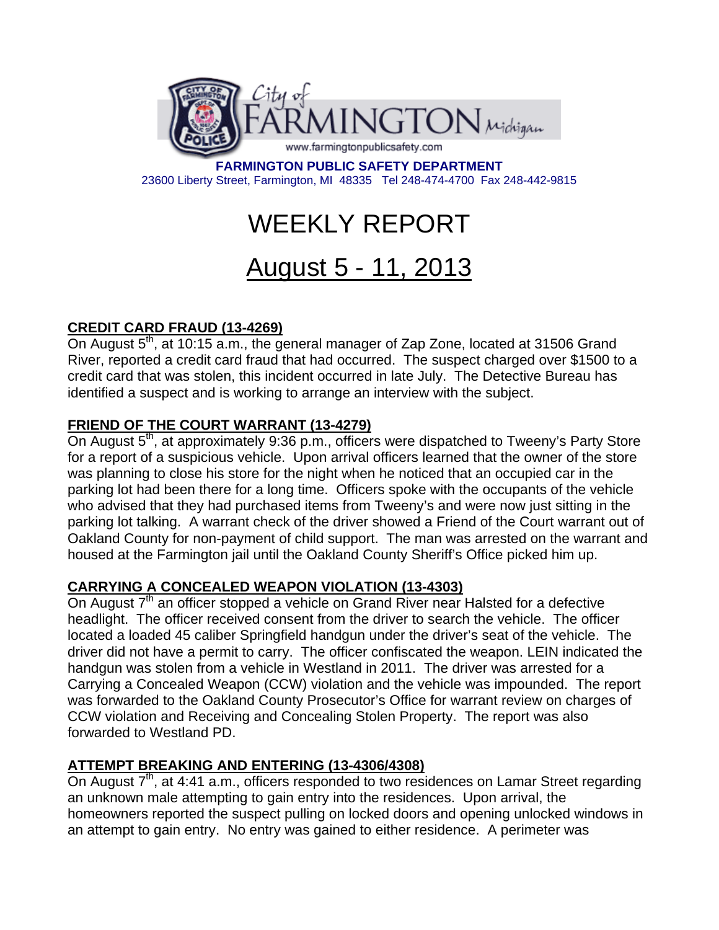

**FARMINGTON PUBLIC SAFETY DEPARTMENT**  23600 Liberty Street, Farmington, MI 48335 Tel 248-474-4700 Fax 248-442-9815

# WEEKLY REPORT

# August 5 - 11, 2013

# **CREDIT CARD FRAUD (13-4269)**

On August 5<sup>th</sup>, at 10:15 a.m., the general manager of Zap Zone, located at 31506 Grand River, reported a credit card fraud that had occurred. The suspect charged over \$1500 to a credit card that was stolen, this incident occurred in late July. The Detective Bureau has identified a suspect and is working to arrange an interview with the subject.

# **FRIEND OF THE COURT WARRANT (13-4279)**

On August 5<sup>th</sup>, at approximately 9:36 p.m., officers were dispatched to Tweeny's Party Store for a report of a suspicious vehicle. Upon arrival officers learned that the owner of the store was planning to close his store for the night when he noticed that an occupied car in the parking lot had been there for a long time. Officers spoke with the occupants of the vehicle who advised that they had purchased items from Tweeny's and were now just sitting in the parking lot talking. A warrant check of the driver showed a Friend of the Court warrant out of Oakland County for non-payment of child support. The man was arrested on the warrant and housed at the Farmington jail until the Oakland County Sheriff's Office picked him up.

#### **CARRYING A CONCEALED WEAPON VIOLATION (13-4303)**

On August  $7<sup>th</sup>$  an officer stopped a vehicle on Grand River near Halsted for a defective headlight. The officer received consent from the driver to search the vehicle. The officer located a loaded 45 caliber Springfield handgun under the driver's seat of the vehicle. The driver did not have a permit to carry. The officer confiscated the weapon. LEIN indicated the handgun was stolen from a vehicle in Westland in 2011. The driver was arrested for a Carrying a Concealed Weapon (CCW) violation and the vehicle was impounded. The report was forwarded to the Oakland County Prosecutor's Office for warrant review on charges of CCW violation and Receiving and Concealing Stolen Property. The report was also forwarded to Westland PD.

#### **ATTEMPT BREAKING AND ENTERING (13-4306/4308)**

On August  $7<sup>th</sup>$ , at 4:41 a.m., officers responded to two residences on Lamar Street regarding an unknown male attempting to gain entry into the residences. Upon arrival, the homeowners reported the suspect pulling on locked doors and opening unlocked windows in an attempt to gain entry. No entry was gained to either residence. A perimeter was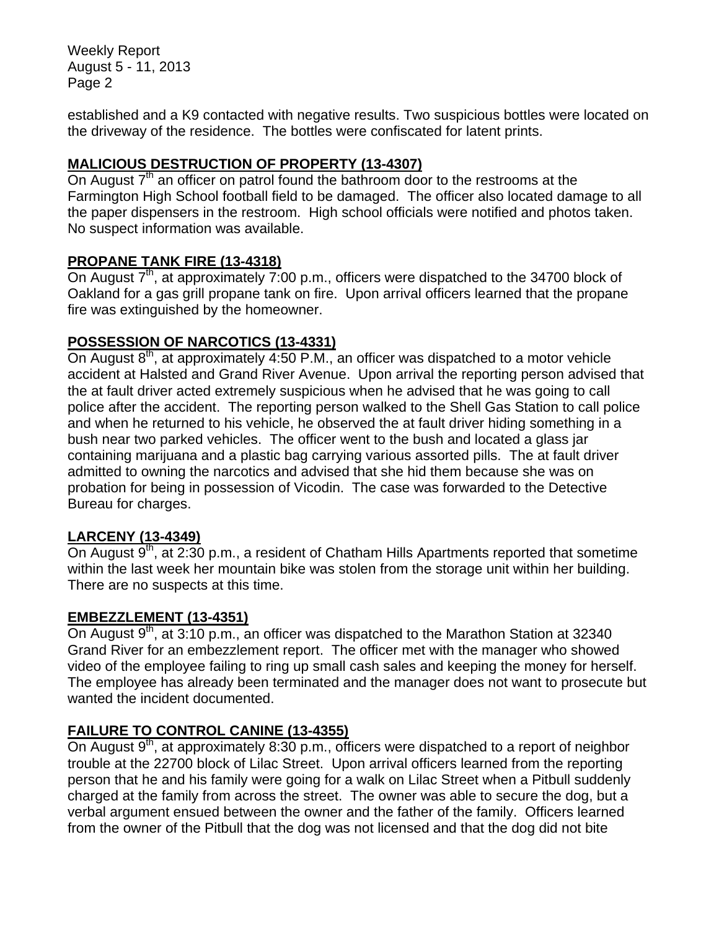Weekly Report August 5 - 11, 2013 Page 2

established and a K9 contacted with negative results. Two suspicious bottles were located on the driveway of the residence. The bottles were confiscated for latent prints.

# **MALICIOUS DESTRUCTION OF PROPERTY (13-4307)**

On August  $7<sup>th</sup>$  an officer on patrol found the bathroom door to the restrooms at the Farmington High School football field to be damaged. The officer also located damage to all the paper dispensers in the restroom. High school officials were notified and photos taken. No suspect information was available.

#### **PROPANE TANK FIRE (13-4318)**

On August  $7<sup>th</sup>$ , at approximately 7:00 p.m., officers were dispatched to the 34700 block of Oakland for a gas grill propane tank on fire. Upon arrival officers learned that the propane fire was extinguished by the homeowner.

# **POSSESSION OF NARCOTICS (13-4331)**

On August  $8<sup>th</sup>$ , at approximately 4:50 P.M., an officer was dispatched to a motor vehicle accident at Halsted and Grand River Avenue. Upon arrival the reporting person advised that the at fault driver acted extremely suspicious when he advised that he was going to call police after the accident. The reporting person walked to the Shell Gas Station to call police and when he returned to his vehicle, he observed the at fault driver hiding something in a bush near two parked vehicles. The officer went to the bush and located a glass jar containing marijuana and a plastic bag carrying various assorted pills. The at fault driver admitted to owning the narcotics and advised that she hid them because she was on probation for being in possession of Vicodin. The case was forwarded to the Detective Bureau for charges.

#### **LARCENY (13-4349)**

On August  $9<sup>th</sup>$ , at 2:30 p.m., a resident of Chatham Hills Apartments reported that sometime within the last week her mountain bike was stolen from the storage unit within her building. There are no suspects at this time.

#### **EMBEZZLEMENT (13-4351)**

On August  $9<sup>th</sup>$ , at 3:10 p.m., an officer was dispatched to the Marathon Station at 32340 Grand River for an embezzlement report. The officer met with the manager who showed video of the employee failing to ring up small cash sales and keeping the money for herself. The employee has already been terminated and the manager does not want to prosecute but wanted the incident documented.

# **FAILURE TO CONTROL CANINE (13-4355)**

On August  $9<sup>th</sup>$ , at approximately 8:30 p.m., officers were dispatched to a report of neighbor trouble at the 22700 block of Lilac Street. Upon arrival officers learned from the reporting person that he and his family were going for a walk on Lilac Street when a Pitbull suddenly charged at the family from across the street. The owner was able to secure the dog, but a verbal argument ensued between the owner and the father of the family. Officers learned from the owner of the Pitbull that the dog was not licensed and that the dog did not bite